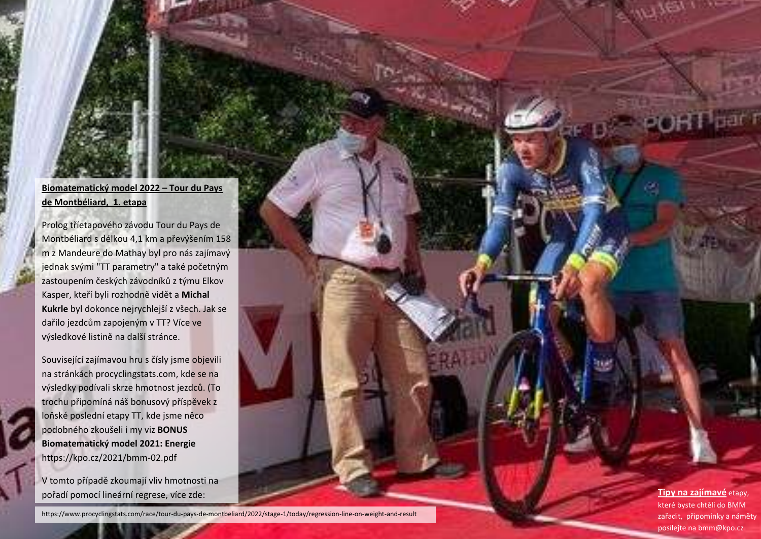## **Biomatematický model 2022 – Tour du Pays de Montbéliard, 1. etapa**

Prolog tříetapového závodu Tour du Pays de Montbéliard s délkou 4,1 km a převýšením 158 m z Mandeure do Mathay byl pro nás zajímavý jednak svými "TT parametry" a také početným zastoupením českých závodníků z týmu Elkov Kasper, kteří byli rozhodně vidět a **Michal Kukrle** byl dokonce nejrychlejší z všech. Jak se dařilo jezdcům zapojeným v TT? Více ve výsledkové listině na další stránce.

Související zajímavou hru s čísly jsme objevili na stránkách procyclingstats.com, kde se na výsledky podívali skrze hmotnost jezdců. (To trochu připomíná náš bonusový příspěvek z loňské poslední etapy TT, kde jsme něco podobného zkoušeli i my viz **[BONUS](https://kpo.cz/2021/bmm-02.pdf)  [Biomatematický model 2021: Energie](https://kpo.cz/2021/bmm-02.pdf)** https://kpo.cz/2021/bmm-02.pdf

V tomto případě zkoumají vliv hmotnosti na pořadí pomocí lineární regrese, více zde:

https://www.procyclingstats.com/race/tour-du-pays-de-montbeliard/2022/stage-1/today/regression-line-on-weight-and-result

**Tipy na zajímavé** etapy, které byste chtěli do BMM zařadit, připomínky a náměty posílejte na bmm@kpo.cz